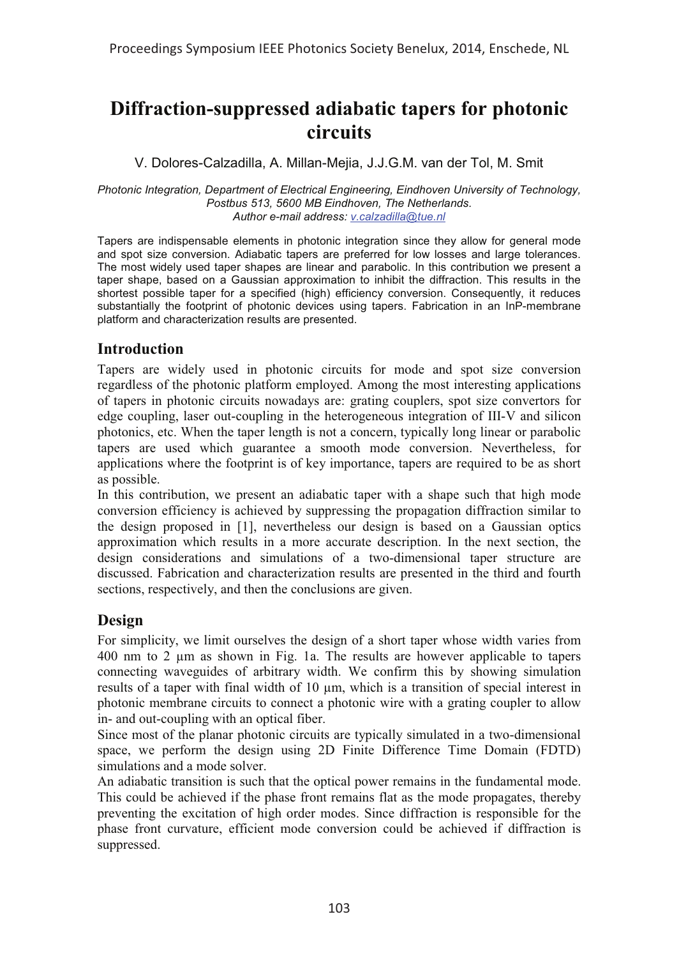# **Diffraction-suppressed adiabatic tapers for photonic circuits**

### V. Dolores-Calzadilla, A. Millan-Mejia, J.J.G.M. van der Tol, M. Smit

#### *Photonic Integration, Department of Electrical Engineering, Eindhoven University of Technology, Postbus 513, 5600 MB Eindhoven, The Netherlands. Author e-mail address: v.calzadilla@tue.nl*

Tapers are indispensable elements in photonic integration since they allow for general mode and spot size conversion. Adiabatic tapers are preferred for low losses and large tolerances. The most widely used taper shapes are linear and parabolic. In this contribution we present a taper shape, based on a Gaussian approximation to inhibit the diffraction. This results in the shortest possible taper for a specified (high) efficiency conversion. Consequently, it reduces substantially the footprint of photonic devices using tapers. Fabrication in an InP-membrane platform and characterization results are presented.

# **Introduction**

Tapers are widely used in photonic circuits for mode and spot size conversion regardless of the photonic platform employed. Among the most interesting applications of tapers in photonic circuits nowadays are: grating couplers, spot size convertors for edge coupling, laser out-coupling in the heterogeneous integration of III-V and silicon photonics, etc. When the taper length is not a concern, typically long linear or parabolic tapers are used which guarantee a smooth mode conversion. Nevertheless, for applications where the footprint is of key importance, tapers are required to be as short as possible.

In this contribution, we present an adiabatic taper with a shape such that high mode conversion efficiency is achieved by suppressing the propagation diffraction similar to the design proposed in [1], nevertheless our design is based on a Gaussian optics approximation which results in a more accurate description. In the next section, the design considerations and simulations of a two-dimensional taper structure are discussed. Fabrication and characterization results are presented in the third and fourth sections, respectively, and then the conclusions are given.

# **Design**

For simplicity, we limit ourselves the design of a short taper whose width varies from 400 nm to 2 μm as shown in Fig. 1a. The results are however applicable to tapers connecting waveguides of arbitrary width. We confirm this by showing simulation results of a taper with final width of 10 μm, which is a transition of special interest in photonic membrane circuits to connect a photonic wire with a grating coupler to allow in- and out-coupling with an optical fiber.

Since most of the planar photonic circuits are typically simulated in a two-dimensional space, we perform the design using 2D Finite Difference Time Domain (FDTD) simulations and a mode solver.

An adiabatic transition is such that the optical power remains in the fundamental mode. This could be achieved if the phase front remains flat as the mode propagates, thereby preventing the excitation of high order modes. Since diffraction is responsible for the phase front curvature, efficient mode conversion could be achieved if diffraction is suppressed.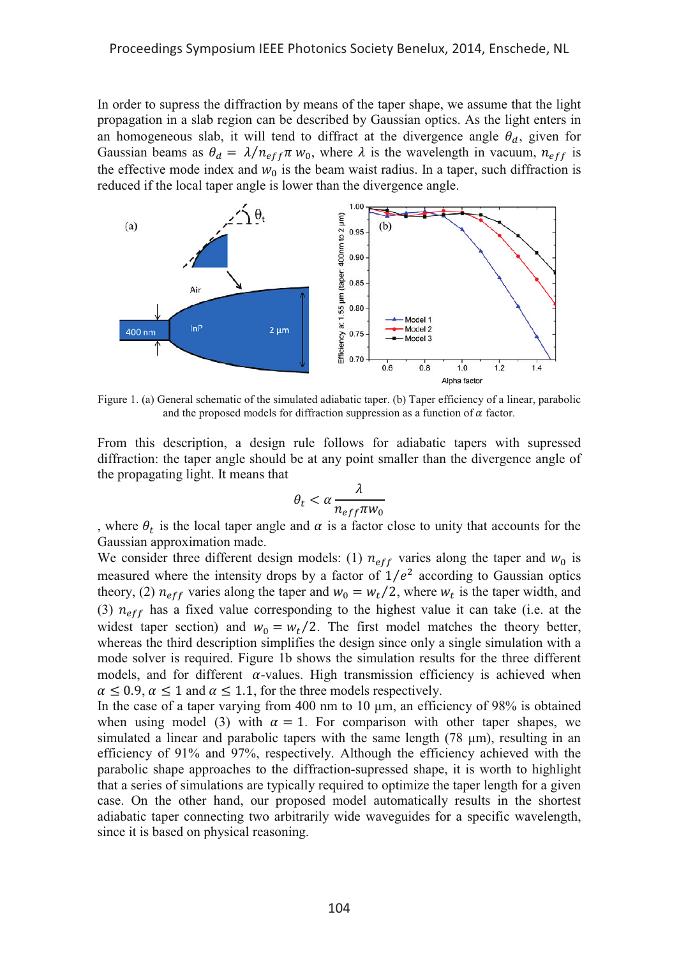In order to supress the diffraction by means of the taper shape, we assume that the light propagation in a slab region can be described by Gaussian optics. As the light enters in an homogeneous slab, it will tend to diffract at the divergence angle  $\theta_a$ , given for Gaussian beams as  $\theta_d = \lambda/n_{eff} \pi w_0$ , where  $\lambda$  is the wavelength in vacuum,  $n_{eff}$  is the effective mode index and  $w_0$  is the beam waist radius. In a taper, such diffraction is reduced if the local taper angle is lower than the divergence angle.



Figure 1. (a) General schematic of the simulated adiabatic taper. (b) Taper efficiency of a linear, parabolic and the proposed models for diffraction suppression as a function of  $\alpha$  factor.

From this description, a design rule follows for adiabatic tapers with supressed diffraction: the taper angle should be at any point smaller than the divergence angle of the propagating light. It means that

$$
\theta_t < \alpha \frac{\lambda}{n_{eff} \pi w_0}
$$

, where  $\theta_t$  is the local taper angle and  $\alpha$  is a factor close to unity that accounts for the Gaussian approximation made.

We consider three different design models: (1)  $n_{eff}$  varies along the taper and  $w_0$  is measured where the intensity drops by a factor of  $1/e^2$  according to Gaussian optics theory, (2)  $n_{eff}$  varies along the taper and  $w_0 = w_t/2$ , where  $w_t$  is the taper width, and (3)  $n_{eff}$  has a fixed value corresponding to the highest value it can take (i.e. at the widest taper section) and  $w_0 = w_t/2$ . The first model matches the theory better, whereas the third description simplifies the design since only a single simulation with a mode solver is required. Figure 1b shows the simulation results for the three different models, and for different  $\alpha$ -values. High transmission efficiency is achieved when  $\alpha \leq 0.9$ ,  $\alpha \leq 1$  and  $\alpha \leq 1.1$ , for the three models respectively.

In the case of a taper varying from 400 nm to 10 μm, an efficiency of 98% is obtained when using model (3) with  $\alpha = 1$ . For comparison with other taper shapes, we simulated a linear and parabolic tapers with the same length  $(78 \mu m)$ , resulting in an efficiency of 91% and 97%, respectively. Although the efficiency achieved with the parabolic shape approaches to the diffraction-supressed shape, it is worth to highlight that a series of simulations are typically required to optimize the taper length for a given case. On the other hand, our proposed model automatically results in the shortest adiabatic taper connecting two arbitrarily wide waveguides for a specific wavelength, since it is based on physical reasoning.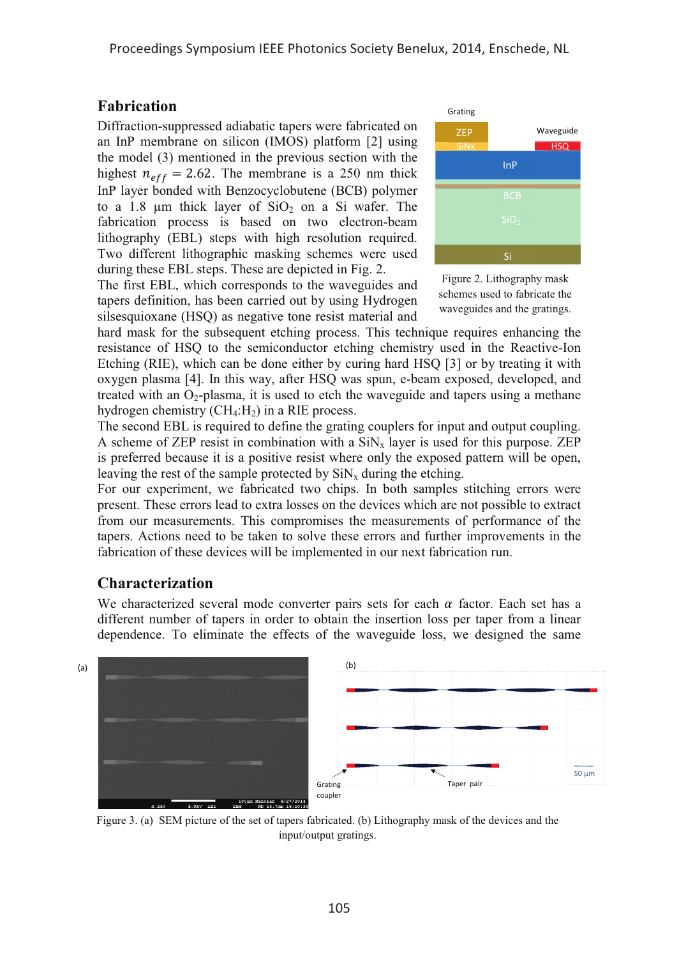#### **Fabrication**

Diffraction-suppressed adiabatic tapers were fabricated on an InP membrane on silicon (IMOS) platform [2] using the model (3) mentioned in the previous section with the highest  $n_{eff} = 2.62$ . The membrane is a 250 nm thick InP layer bonded with Benzocyclobutene (BCB) polymer to a 1.8  $\mu$ m thick layer of SiO<sub>2</sub> on a Si wafer. The fabrication process is based on two electron-beam lithography (EBL) steps with high resolution required. Two different lithographic masking schemes were used during these EBL steps. These are depicted in Fig. 2.

The first EBL, which corresponds to the waveguides and tapers definition, has been carried out by using Hydrogen silsesquioxane (HSQ) as negative tone resist material and



Figure 2. Lithography mask schemes used to fabricate the waveguides and the gratings.

hard mask for the subsequent etching process. This technique requires enhancing the resistance of HSQ to the semiconductor etching chemistry used in the Reactive-Ion Etching (RIE), which can be done either by curing hard HSQ [3] or by treating it with oxygen plasma [4]. In this way, after HSQ was spun, e-beam exposed, developed, and treated with an  $O_2$ -plasma, it is used to etch the waveguide and tapers using a methane hydrogen chemistry  $(CH_4:H_2)$  in a RIE process.

The second EBL is required to define the grating couplers for input and output coupling. A scheme of ZEP resist in combination with a  $\text{SiN}_x$  layer is used for this purpose. ZEP is preferred because it is a positive resist where only the exposed pattern will be open, leaving the rest of the sample protected by  $\text{SiN}_x$  during the etching.

For our experiment, we fabricated two chips. In both samples stitching errors were present. These errors lead to extra losses on the devices which are not possible to extract from our measurements. This compromises the measurements of performance of the tapers. Actions need to be taken to solve these errors and further improvements in the fabrication of these devices will be implemented in our next fabrication run.

### **Characterization**

We characterized several mode converter pairs sets for each  $\alpha$  factor. Each set has a different number of tapers in order to obtain the insertion loss per taper from a linear dependence. To eliminate the effects of the waveguide loss, we designed the same



Figure 3. (a) SEM picture of the set of tapers fabricated. (b) Lithography mask of the devices and the input/output gratings.